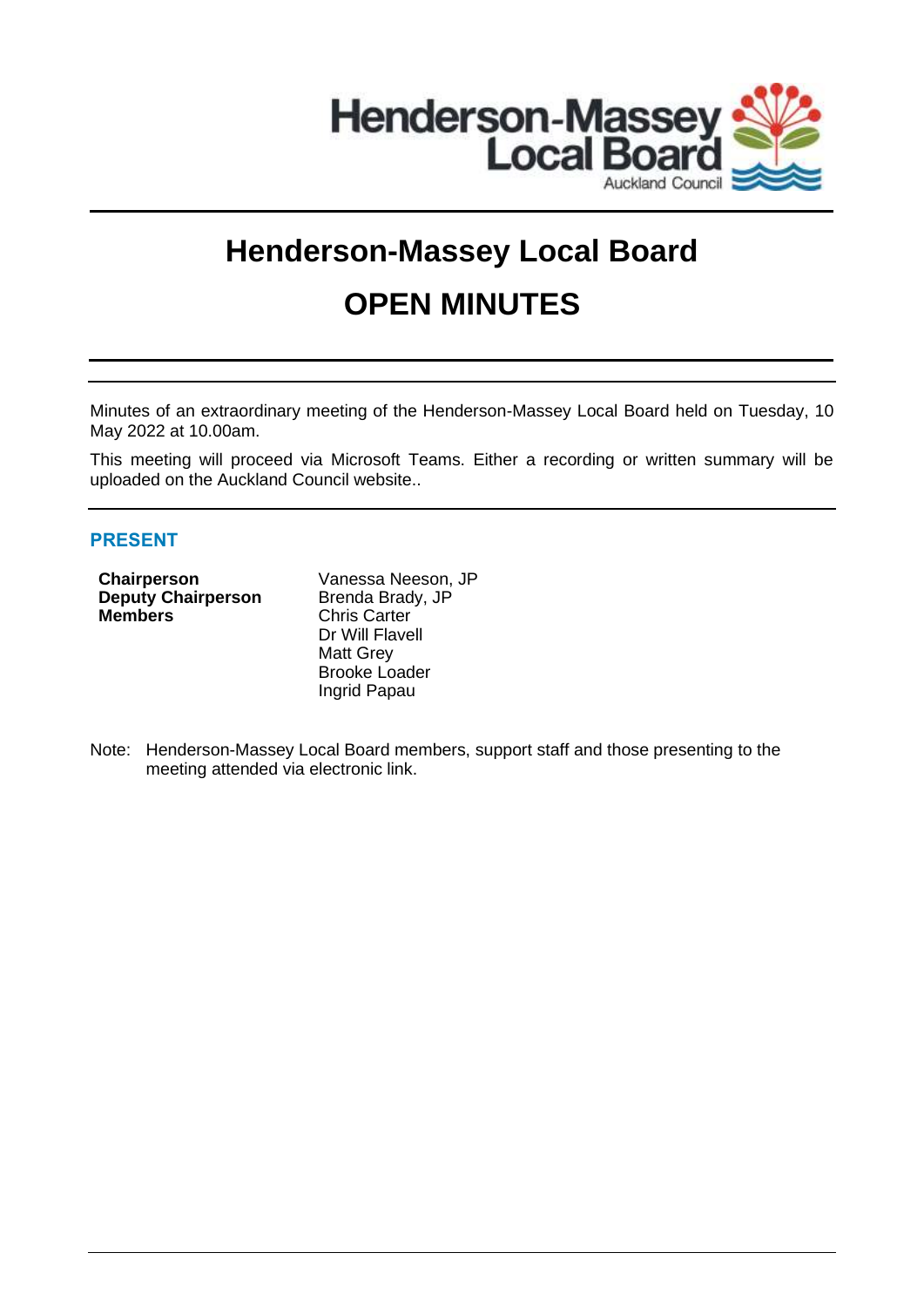

# **Henderson-Massey Local Board OPEN MINUTES**

Minutes of an extraordinary meeting of the Henderson-Massey Local Board held on Tuesday, 10 May 2022 at 10.00am.

This meeting will proceed via Microsoft Teams. Either a recording or written summary will be uploaded on the Auckland Council website..

## **PRESENT**

**Deputy Chairperson** Brenda Brady, JP **Members** Chris Carter

**Chairperson** Vanessa Neeson, JP Dr Will Flavell Matt Grey Brooke Loader Ingrid Papau

Note: Henderson-Massey Local Board members, support staff and those presenting to the meeting attended via electronic link.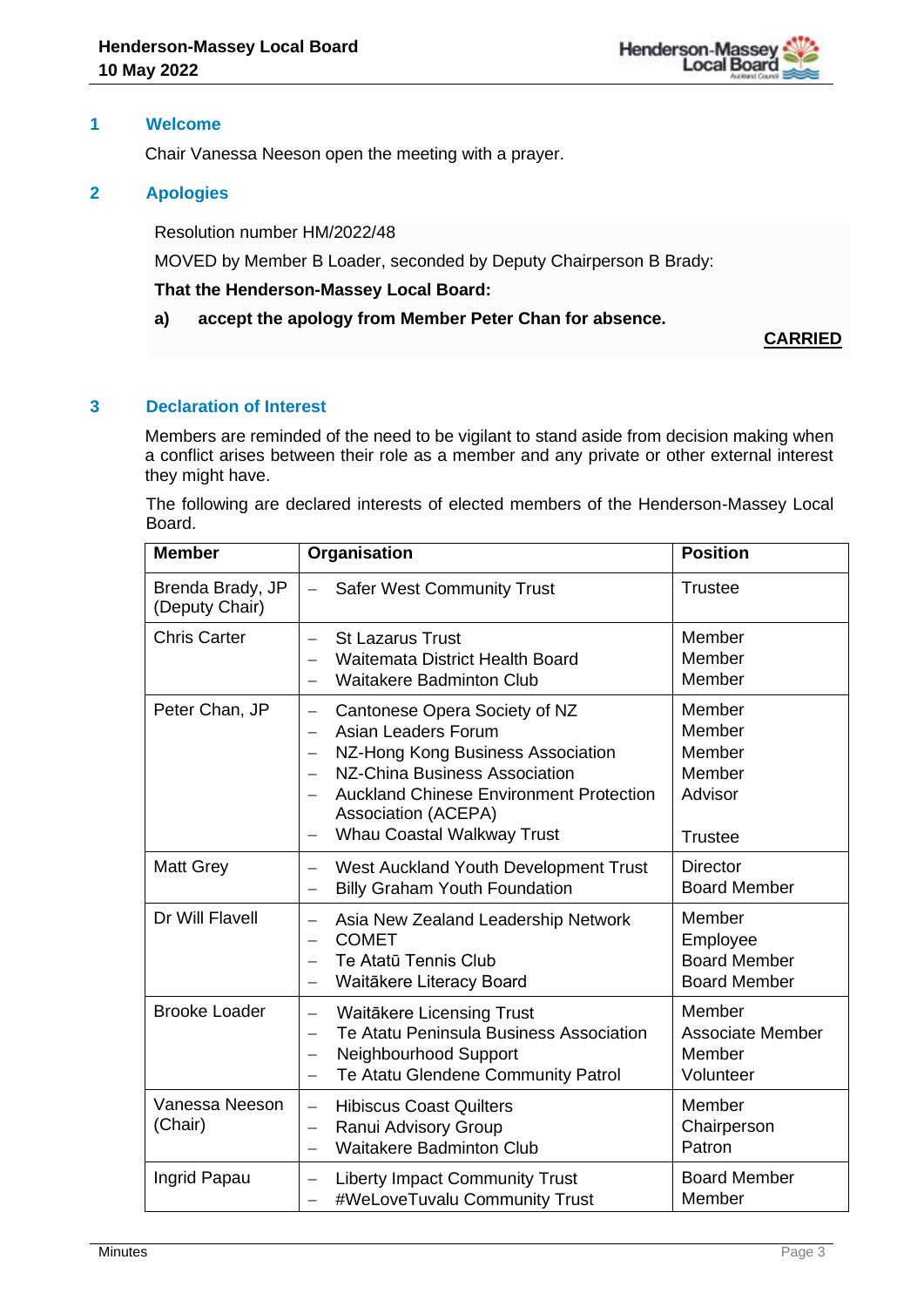

### **1 Welcome**

Chair Vanessa Neeson open the meeting with a prayer.

## **2 Apologies**

Resolution number HM/2022/48

MOVED by Member B Loader, seconded by Deputy Chairperson B Brady:

#### **That the Henderson-Massey Local Board:**

## **a) accept the apology from Member Peter Chan for absence.**

**CARRIED**

## **3 Declaration of Interest**

Members are reminded of the need to be vigilant to stand aside from decision making when a conflict arises between their role as a member and any private or other external interest they might have.

The following are declared interests of elected members of the Henderson-Massey Local Board.

| <b>Member</b>                      | Organisation                                                                                                                                                                                                                                                                                                                                                                                              | <b>Position</b>                                                   |
|------------------------------------|-----------------------------------------------------------------------------------------------------------------------------------------------------------------------------------------------------------------------------------------------------------------------------------------------------------------------------------------------------------------------------------------------------------|-------------------------------------------------------------------|
| Brenda Brady, JP<br>(Deputy Chair) | <b>Safer West Community Trust</b>                                                                                                                                                                                                                                                                                                                                                                         | <b>Trustee</b>                                                    |
| <b>Chris Carter</b>                | <b>St Lazarus Trust</b><br>$\overline{\phantom{0}}$<br>Waitemata District Health Board<br><b>Waitakere Badminton Club</b><br>$\overline{\phantom{0}}$                                                                                                                                                                                                                                                     | Member<br>Member<br>Member                                        |
| Peter Chan, JP                     | Cantonese Opera Society of NZ<br>$\overline{\phantom{m}}$<br>Asian Leaders Forum<br>$\overline{\phantom{0}}$<br>NZ-Hong Kong Business Association<br>$\overline{\phantom{m}}$<br><b>NZ-China Business Association</b><br>$\overline{\phantom{m}}$<br><b>Auckland Chinese Environment Protection</b><br>$\overline{\phantom{0}}$<br>Association (ACEPA)<br>Whau Coastal Walkway Trust<br>$\qquad \qquad -$ | Member<br>Member<br>Member<br>Member<br>Advisor<br><b>Trustee</b> |
| <b>Matt Grey</b>                   | West Auckland Youth Development Trust<br>$\overline{\phantom{0}}$<br><b>Billy Graham Youth Foundation</b>                                                                                                                                                                                                                                                                                                 | <b>Director</b><br><b>Board Member</b>                            |
| Dr Will Flavell                    | Asia New Zealand Leadership Network<br>$\overline{\phantom{0}}$<br><b>COMET</b><br>Te Atatū Tennis Club<br>Waitākere Literacy Board<br>$\qquad \qquad -$                                                                                                                                                                                                                                                  | Member<br>Employee<br><b>Board Member</b><br><b>Board Member</b>  |
| <b>Brooke Loader</b>               | <b>Waitäkere Licensing Trust</b><br>$\equiv$<br>Te Atatu Peninsula Business Association<br>$\overline{\phantom{0}}$<br>Neighbourhood Support<br>$\qquad \qquad -$<br>Te Atatu Glendene Community Patrol                                                                                                                                                                                                   | Member<br><b>Associate Member</b><br>Member<br>Volunteer          |
| Vanessa Neeson<br>(Chair)          | <b>Hibiscus Coast Quilters</b><br>$\overline{\phantom{0}}$<br>Ranui Advisory Group<br>$\overline{\phantom{m}}$<br><b>Waitakere Badminton Club</b>                                                                                                                                                                                                                                                         | Member<br>Chairperson<br>Patron                                   |
| Ingrid Papau                       | <b>Liberty Impact Community Trust</b><br>$\overline{\phantom{0}}$<br>#WeLoveTuvalu Community Trust<br>$\overline{\phantom{m}}$                                                                                                                                                                                                                                                                            | <b>Board Member</b><br>Member                                     |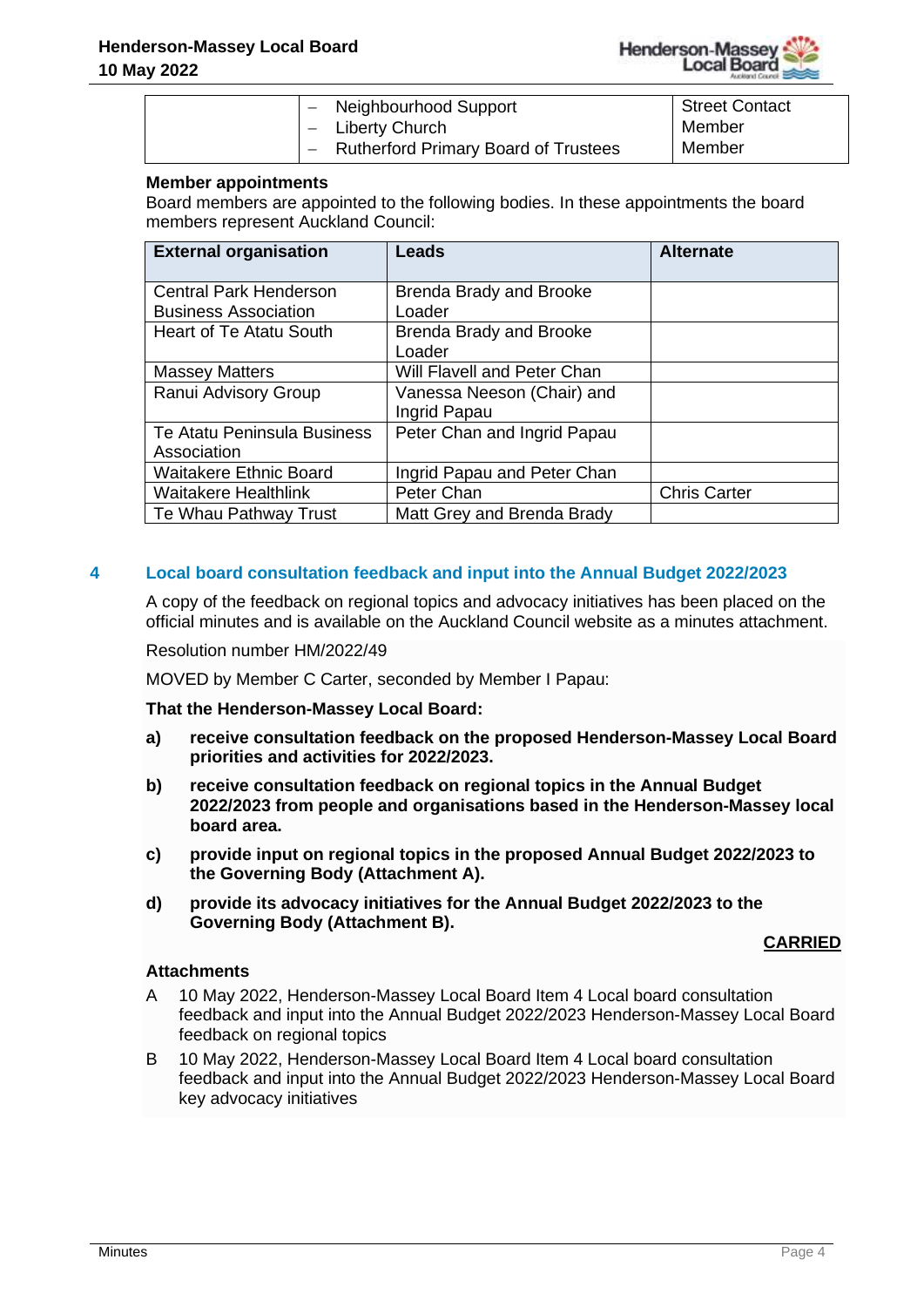

|  | - Neighbourhood Support                | Street Contact |
|--|----------------------------------------|----------------|
|  | - Liberty Church                       | Member         |
|  | - Rutherford Primary Board of Trustees | Member         |

## **Member appointments**

Board members are appointed to the following bodies. In these appointments the board members represent Auckland Council:

| <b>External organisation</b>                                 | Leads                                      | <b>Alternate</b>    |
|--------------------------------------------------------------|--------------------------------------------|---------------------|
| <b>Central Park Henderson</b><br><b>Business Association</b> | <b>Brenda Brady and Brooke</b><br>Loader   |                     |
| <b>Heart of Te Atatu South</b>                               | <b>Brenda Brady and Brooke</b><br>Loader   |                     |
| <b>Massey Matters</b>                                        | Will Flavell and Peter Chan                |                     |
| Ranui Advisory Group                                         | Vanessa Neeson (Chair) and<br>Ingrid Papau |                     |
| Te Atatu Peninsula Business<br>Association                   | Peter Chan and Ingrid Papau                |                     |
| <b>Waitakere Ethnic Board</b>                                | Ingrid Papau and Peter Chan                |                     |
| <b>Waitakere Healthlink</b>                                  | Peter Chan                                 | <b>Chris Carter</b> |
| Te Whau Pathway Trust                                        | Matt Grey and Brenda Brady                 |                     |

## **4 Local board consultation feedback and input into the Annual Budget 2022/2023**

A copy of the feedback on regional topics and advocacy initiatives has been placed on the official minutes and is available on the Auckland Council website as a minutes attachment.

#### Resolution number HM/2022/49

MOVED by Member C Carter, seconded by Member I Papau:

#### **That the Henderson-Massey Local Board:**

- **a) receive consultation feedback on the proposed Henderson-Massey Local Board priorities and activities for 2022/2023.**
- **b) receive consultation feedback on regional topics in the Annual Budget 2022/2023 from people and organisations based in the Henderson-Massey local board area.**
- **c) provide input on regional topics in the proposed Annual Budget 2022/2023 to the Governing Body (Attachment A).**
- **d) provide its advocacy initiatives for the Annual Budget 2022/2023 to the Governing Body (Attachment B).**

#### **CARRIED**

#### **Attachments**

- A 10 May 2022, Henderson-Massey Local Board Item 4 Local board consultation feedback and input into the Annual Budget 2022/2023 Henderson-Massey Local Board feedback on regional topics
- B 10 May 2022, Henderson-Massey Local Board Item 4 Local board consultation feedback and input into the Annual Budget 2022/2023 Henderson-Massey Local Board key advocacy initiatives